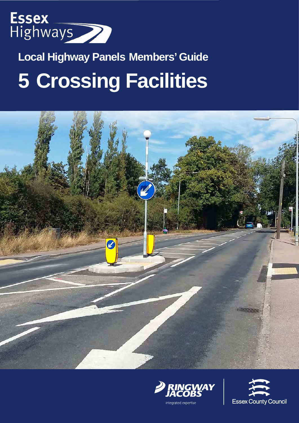

# **Local Highway Panels Members' Guide 5 Crossing Facilities**





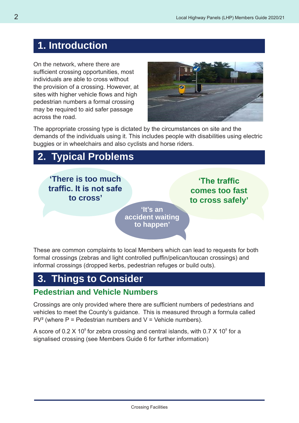## **1. Introduction**

On the network, where there are sufficient crossing opportunities, most individuals are able to cross without the provision of a crossing. However, at sites with higher vehicle flows and high pedestrian numbers a formal crossing may be required to aid safer passage across the road.



The appropriate crossing type is dictated by the circumstances on site and the demands of the individuals using it. This includes people with disabilities using electric buggies or in wheelchairs and also cyclists and horse riders.

## **2. Typical Problems**

**'There is too much traffic. It is not safe to cross'**

**'The traffic comes too fast to cross safely'**

**'It's an accident waiting to happen'**

These are common complaints to local Members which can lead to requests for both formal crossings (zebras and light controlled puffin/pelican/toucan crossings) and informal crossings (dropped kerbs, pedestrian refuges or build outs).

## **3. Things to Consider**

#### **Pedestrian and Vehicle Numbers**

Crossings are only provided where there are sufficient numbers of pedestrians and vehicles to meet the County's guidance. This is measured through a formula called  $PV<sup>2</sup>$  (where P = Pedestrian numbers and V = Vehicle numbers).

A score of 0.2 X 10<sup>8</sup> for zebra crossing and central islands, with 0.7 X 10<sup>8</sup> for a signalised crossing (see Members Guide 6 for further information)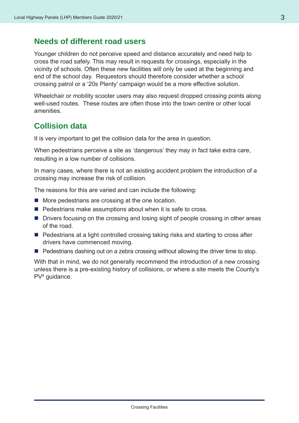#### **Needs of different road users**

Younger children do not perceive speed and distance accurately and need help to cross the road safely. This may result in requests for crossings, especially in the vicinity of schools. Often these new facilities will only be used at the beginning and end of the school day. Requestors should therefore consider whether a school crossing patrol or a '20s Plenty' campaign would be a more effective solution.

Wheelchair or mobility scooter users may also request dropped crossing points along well-used routes. These routes are often those into the town centre or other local amenities.

#### **Collision data**

It is very important to get the collision data for the area in question.

When pedestrians perceive a site as 'dangerous' they may in fact take extra care, resulting in a low number of collisions.

In many cases, where there is not an existing accident problem the introduction of a crossing may increase the risk of collision.

The reasons for this are varied and can include the following:

- $\blacksquare$  More pedestrians are crossing at the one location.
- $\blacksquare$  Pedestrians make assumptions about when it is safe to cross.
- Drivers focusing on the crossing and losing sight of people crossing in other areas of the road.
- Pedestrians at a light controlled crossing taking risks and starting to cross after drivers have commenced moving.
- $\blacksquare$  Pedestrians dashing out on a zebra crossing without allowing the driver time to stop.

With that in mind, we do not generally recommend the introduction of a new crossing unless there is a pre-existing history of collisions, or where a site meets the County's PV<sup>2</sup> guidance.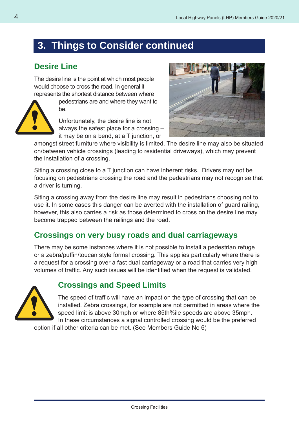## **3. Things to Consider continued**

#### **Desire Line**

The desire line is the point at which most people would choose to cross the road. In general it represents the shortest distance between where



pedestrians are and where they want to be.

Unfortunately, the desire line is not always the safest place for a crossing – it may be on a bend, at a T junction, or



amongst street furniture where visibility is limited. The desire line may also be situated on/between vehicle crossings (leading to residential driveways), which may prevent the installation of a crossing.

Siting a crossing close to a T junction can have inherent risks. Drivers may not be focusing on pedestrians crossing the road and the pedestrians may not recognise that a driver is turning.

Siting a crossing away from the desire line may result in pedestrians choosing not to use it. In some cases this danger can be averted with the installation of guard railing, however, this also carries a risk as those determined to cross on the desire line may become trapped between the railings and the road.

#### **Crossings on very busy roads and dual carriageways**

There may be some instances where it is not possible to install a pedestrian refuge or a zebra/puffin/toucan style formal crossing. This applies particularly where there is a request for a crossing over a fast dual carriageway or a road that carries very high volumes of traffic. Any such issues will be identified when the request is validated.



#### **Crossings and Speed Limits**

The speed of traffic will have an impact on the type of crossing that can be installed. Zebra crossings, for example are not permitted in areas where the speed limit is above 30mph or where 85th%ile speeds are above 35mph. In these circumstances a signal controlled crossing would be the preferred

option if all other criteria can be met. (See Members Guide No 6)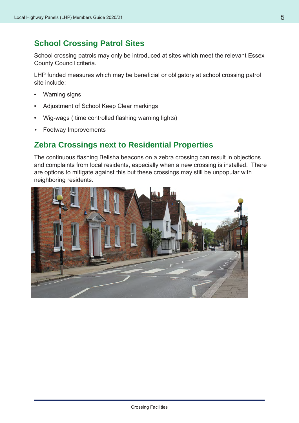#### **School Crossing Patrol Sites**

School crossing patrols may only be introduced at sites which meet the relevant Essex County Council criteria.

LHP funded measures which may be beneficial or obligatory at school crossing patrol site include:

- Warning signs
- Adjustment of School Keep Clear markings
- Wig-wags ( time controlled flashing warning lights)
- Footway Improvements

#### **Zebra Crossings next to Residential Properties**

The continuous flashing Belisha beacons on a zebra crossing can result in objections and complaints from local residents, especially when a new crossing is installed. There are options to mitigate against this but these crossings may still be unpopular with neighboring residents.

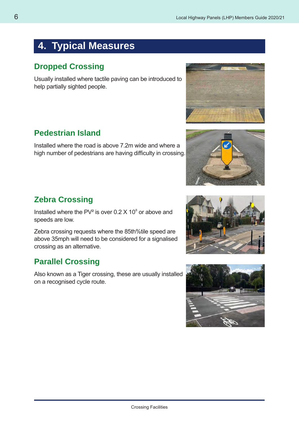## **4. Typical Measures**

#### **Dropped Crossing**

Usually installed where tactile paving can be introduced to help partially sighted people.

#### **Pedestrian Island**

Installed where the road is above 7.2m wide and where a high number of pedestrians are having difficulty in crossing.

#### **Zebra Crossing**

Installed where the PV<sup>2</sup> is over 0.2  $\times$  10<sup>8</sup> or above and speeds are low.

Zebra crossing requests where the 85th%tile speed are above 35mph will need to be considered for a signalised crossing as an alternative.

#### **Parallel Crossing**

Also known as a Tiger crossing, these are usually installed on a recognised cycle route.







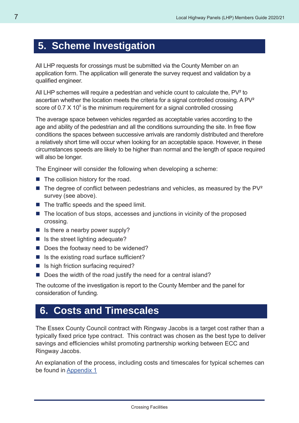## **5. Scheme Investigation**

All LHP requests for crossings must be submitted via the County Member on an application form. The application will generate the survey request and validation by a qualified engineer.

All LHP schemes will require a pedestrian and vehicle count to calculate the, PV<sup>2</sup> to ascertian whether the location meets the criteria for a signal controlled crossing. A PV² score of 0.7  $\times$  10 $^\circ$  is the minimum requirement for a signal controlled crossing

The average space between vehicles regarded as acceptable varies according to the age and ability of the pedestrian and all the conditions surrounding the site. In free flow conditions the spaces between successive arrivals are randomly distributed and therefore a relatively short time will occur when looking for an acceptable space. However, in these circumstances speeds are likely to be higher than normal and the length of space required will also be longer.

The Engineer will consider the following when developing a scheme:

- $\blacksquare$  The collision history for the road.
- $\blacksquare$  The degree of conflict between pedestrians and vehicles, as measured by the PV<sup>2</sup> survey (see above).
- $\blacksquare$  The traffic speeds and the speed limit.
- $\blacksquare$  The location of bus stops, accesses and junctions in vicinity of the proposed crossing.
- $\blacksquare$  Is there a nearby power supply?
- $\blacksquare$  Is the street lighting adequate?
- Does the footway need to be widened?
- $\blacksquare$  Is the existing road surface sufficient?
- Is high friction surfacing required?
- Does the width of the road justify the need for a central island?

The outcome of the investigation is report to the County Member and the panel for consideration of funding.

### **6. Costs and Timescales**

The Essex County Council contract with Ringway Jacobs is a target cost rather than a typically fixed price type contract. This contract was chosen as the best type to deliver savings and efficiencies whilst promoting partnership working between ECC and Ringway Jacobs.

An explanation of the process, including costs and timescales for typical schemes can be found in Appendix 1